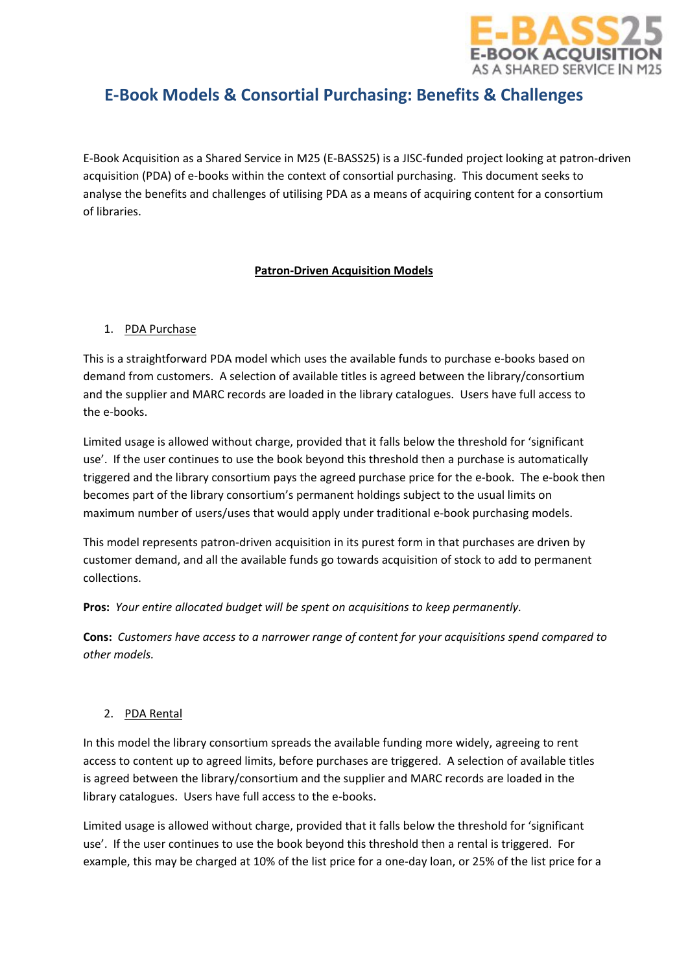

# **E-Book Models & Consortial Purchasing: Benefits & Challenges**

E-Book Acquisition as a Shared Service in M25 (E-BASS25) is a JISC-funded project looking at patron-driven acquisition (PDA) of e-books within the context of consortial purchasing. This document seeks to analyse the benefits and challenges of utilising PDA as a means of acquiring content for a consortium of libraries.

## **Patron-Driven Acquisition Models**

## 1. PDA Purchase

This is a straightforward PDA model which uses the available funds to purchase e-books based on demand from customers. A selection of available titles is agreed between the library/consortium and the supplier and MARC records are loaded in the library catalogues. Users have full access to the e-books.

Limited usage is allowed without charge, provided that it falls below the threshold for 'significant use'. If the user continues to use the book beyond this threshold then a purchase is automatically triggered and the library consortium pays the agreed purchase price for the e-book. The e-book then becomes part of the library consortium's permanent holdings subject to the usual limits on maximum number of users/uses that would apply under traditional e-book purchasing models.

This model represents patron-driven acquisition in its purest form in that purchases are driven by customer demand, and all the available funds go towards acquisition of stock to add to permanent collections.

**Pros:** *Your entire allocated budget will be spent on acquisitions to keep permanently.*

**Cons:** *Customers have access to a narrower range of content for your acquisitions spend compared to other models.*

## 2. PDA Rental

In this model the library consortium spreads the available funding more widely, agreeing to rent access to content up to agreed limits, before purchases are triggered. A selection of available titles is agreed between the library/consortium and the supplier and MARC records are loaded in the library catalogues. Users have full access to the e-books.

Limited usage is allowed without charge, provided that it falls below the threshold for 'significant use'. If the user continues to use the book beyond this threshold then a rental is triggered. For example, this may be charged at 10% of the list price for a one-day loan, or 25% of the list price for a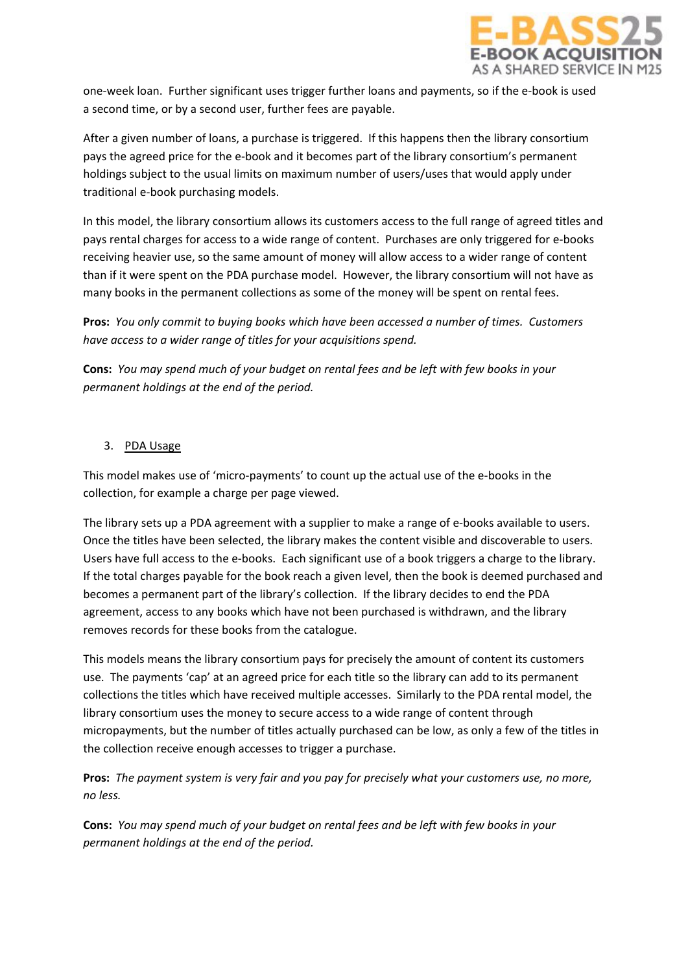

one-week loan. Further significant uses trigger further loans and payments, so if the e-book is used a second time, or by a second user, further fees are payable.

After a given number of loans, a purchase is triggered. If this happens then the library consortium pays the agreed price for the e-book and it becomes part of the library consortium's permanent holdings subject to the usual limits on maximum number of users/uses that would apply under traditional e-book purchasing models.

In this model, the library consortium allows its customers access to the full range of agreed titles and pays rental charges for access to a wide range of content. Purchases are only triggered for e-books receiving heavier use, so the same amount of money will allow access to a wider range of content than if it were spent on the PDA purchase model. However, the library consortium will not have as many books in the permanent collections as some of the money will be spent on rental fees.

**Pros:** *You only commit to buying books which have been accessed a number of times. Customers have access to a wider range of titles for your acquisitions spend.*

**Cons:** *You may spend much of your budget on rental fees and be left with few books in your permanent holdings at the end of the period.*

## 3. PDA Usage

This model makes use of 'micro-payments' to count up the actual use of the e-books in the collection, for example a charge per page viewed.

The library sets up a PDA agreement with a supplier to make a range of e-books available to users. Once the titles have been selected, the library makes the content visible and discoverable to users. Users have full access to the e-books. Each significant use of a book triggers a charge to the library. If the total charges payable for the book reach a given level, then the book is deemed purchased and becomes a permanent part of the library's collection. If the library decides to end the PDA agreement, access to any books which have not been purchased is withdrawn, and the library removes records for these books from the catalogue.

This models means the library consortium pays for precisely the amount of content its customers use. The payments 'cap' at an agreed price for each title so the library can add to its permanent collections the titles which have received multiple accesses. Similarly to the PDA rental model, the library consortium uses the money to secure access to a wide range of content through micropayments, but the number of titles actually purchased can be low, as only a few of the titles in the collection receive enough accesses to trigger a purchase.

**Pros:** *The payment system is very fair and you pay for precisely what your customers use, no more, no less.*

**Cons:** *You may spend much of your budget on rental fees and be left with few books in your permanent holdings at the end of the period.*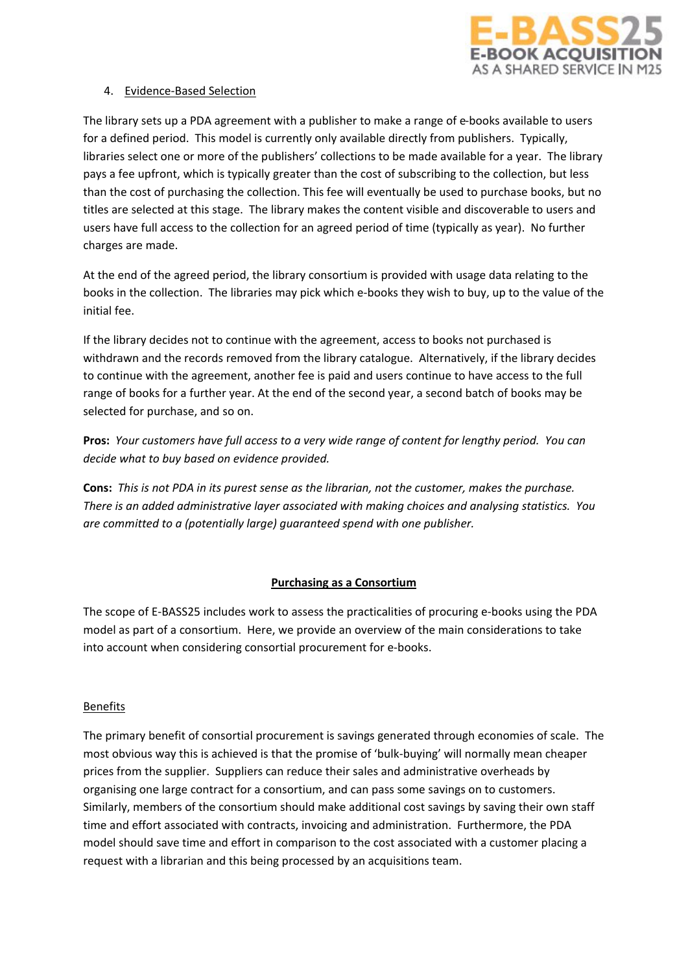

#### 4. Evidence-Based Selection

The library sets up a PDA agreement with a publisher to make a range of e-books available to users for a defined period. This model is currently only available directly from publishers. Typically, libraries select one or more of the publishers' collections to be made available for a year. The library pays a fee upfront, which is typically greater than the cost of subscribing to the collection, but less than the cost of purchasing the collection. This fee will eventually be used to purchase books, but no titles are selected at this stage. The library makes the content visible and discoverable to users and users have full access to the collection for an agreed period of time (typically as year). No further charges are made.

At the end of the agreed period, the library consortium is provided with usage data relating to the books in the collection. The libraries may pick which e-books they wish to buy, up to the value of the initial fee.

If the library decides not to continue with the agreement, access to books not purchased is withdrawn and the records removed from the library catalogue. Alternatively, if the library decides to continue with the agreement, another fee is paid and users continue to have access to the full range of books for a further year. At the end of the second year, a second batch of books may be selected for purchase, and so on.

**Pros:** *Your customers have full access to a very wide range of content for lengthy period. You can decide what to buy based on evidence provided.*

**Cons:** *This is not PDA in its purest sense as the librarian, not the customer, makes the purchase. There is an added administrative layer associated with making choices and analysing statistics. You are committed to a (potentially large) guaranteed spend with one publisher.*

## **Purchasing as a Consortium**

The scope of E-BASS25 includes work to assess the practicalities of procuring e-books using the PDA model as part of a consortium. Here, we provide an overview of the main considerations to take into account when considering consortial procurement for e-books.

#### Benefits

The primary benefit of consortial procurement is savings generated through economies of scale. The most obvious way this is achieved is that the promise of 'bulk-buying' will normally mean cheaper prices from the supplier. Suppliers can reduce their sales and administrative overheads by organising one large contract for a consortium, and can pass some savings on to customers. Similarly, members of the consortium should make additional cost savings by saving their own staff time and effort associated with contracts, invoicing and administration. Furthermore, the PDA model should save time and effort in comparison to the cost associated with a customer placing a request with a librarian and this being processed by an acquisitions team.